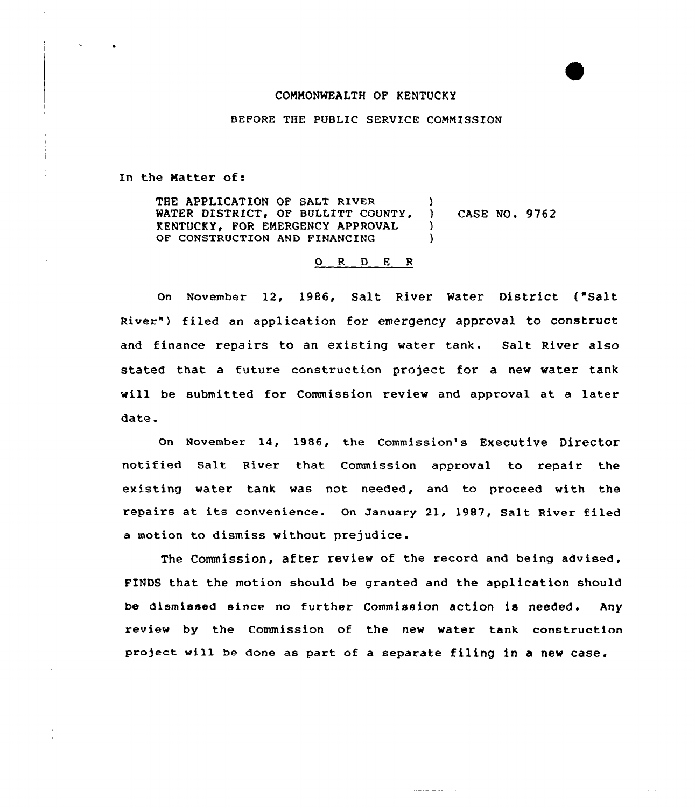## COMMONWEALTH OF KENTUCKY

BEFORE THE PUBLIC SERVICE COMMISSION

In the Natter of:

THE APPLICATION OF SALT RIVER (1998) WATER DISTRICT, OF BULLITT COUNTY, ) CASE NO. 9762 KENTUCKY. FOR EMERGENCY APPROVAL OF CONSTRUCTION AND FINANCING

## 0 <sup>R</sup> <sup>D</sup> <sup>E</sup> <sup>R</sup>

On November 12, 1986, Salt River Water District ("Salt River") filed an application for emergency approval to construct and finance repairs to an existing water tank. Salt River also stated that a future construction project for a new water tank will be submitted for Commission review and approval at a later date.

On November 14, 1986, the Commission's Executive Director notified Salt River that Commission approval to repair the existing water tank was not needed, and to proceed with the repairs at its convenience. On January 21, 1987, Salt River filed a motion to dismiss without prejudice.

The Commission, after review of the record and being advised, FINDS that the motion should be granted and the application should be dismissed since no further Commission action is needed. Any review by the Commission of the new water tank construction project vill be done as part of <sup>a</sup> separate filing in <sup>a</sup> new case.

 $\sim$   $\sim$   $\sim$   $\sim$   $\sim$   $\sim$   $\sim$   $\sim$